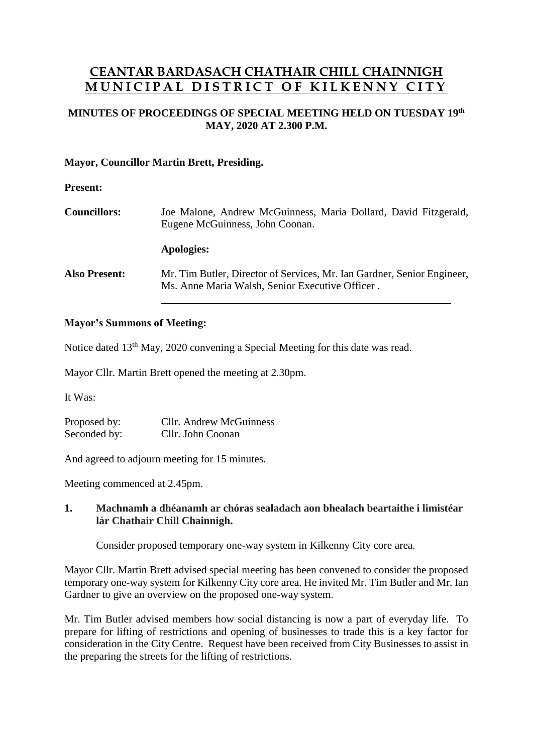# **CEANTAR BARDASACH CHATHAIR CHILL CHAINNIGH M U N I C I P A L D I S T R I C T O F K I L K E N N Y C I T Y**

# **MINUTES OF PROCEEDINGS OF SPECIAL MEETING HELD ON TUESDAY 19 th MAY, 2020 AT 2.300 P.M.**

### **Mayor, Councillor Martin Brett, Presiding.**

#### **Present:**

| <b>Councillors:</b>  | Joe Malone, Andrew McGuinness, Maria Dollard, David Fitzgerald,<br>Eugene McGuinness, John Coonan.                         |
|----------------------|----------------------------------------------------------------------------------------------------------------------------|
|                      | Apologies:                                                                                                                 |
| <b>Also Present:</b> | Mr. Tim Butler, Director of Services, Mr. Ian Gardner, Senior Engineer,<br>Ms. Anne Maria Walsh, Senior Executive Officer. |

#### **Mayor's Summons of Meeting:**

Notice dated 13<sup>th</sup> May, 2020 convening a Special Meeting for this date was read.

Mayor Cllr. Martin Brett opened the meeting at 2.30pm.

It Was:

Proposed by: Cllr. Andrew McGuinness Seconded by: Cllr. John Coonan

And agreed to adjourn meeting for 15 minutes.

Meeting commenced at 2.45pm.

## **1. Machnamh a dhéanamh ar chóras sealadach aon bhealach beartaithe i limistéar lár Chathair Chill Chainnigh.**

Consider proposed temporary one-way system in Kilkenny City core area.

Mayor Cllr. Martin Brett advised special meeting has been convened to consider the proposed temporary one-way system for Kilkenny City core area. He invited Mr. Tim Butler and Mr. Ian Gardner to give an overview on the proposed one-way system.

Mr. Tim Butler advised members how social distancing is now a part of everyday life. To prepare for lifting of restrictions and opening of businesses to trade this is a key factor for consideration in the City Centre. Request have been received from City Businesses to assist in the preparing the streets for the lifting of restrictions.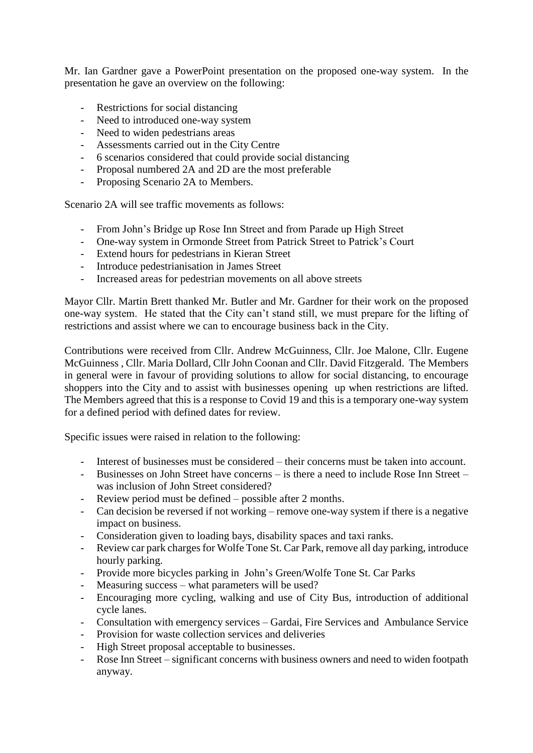Mr. Ian Gardner gave a PowerPoint presentation on the proposed one-way system. In the presentation he gave an overview on the following:

- Restrictions for social distancing
- Need to introduced one-way system
- Need to widen pedestrians areas
- Assessments carried out in the City Centre
- 6 scenarios considered that could provide social distancing
- Proposal numbered 2A and 2D are the most preferable
- Proposing Scenario 2A to Members.

Scenario 2A will see traffic movements as follows:

- From John's Bridge up Rose Inn Street and from Parade up High Street
- One-way system in Ormonde Street from Patrick Street to Patrick's Court
- Extend hours for pedestrians in Kieran Street
- Introduce pedestrianisation in James Street
- Increased areas for pedestrian movements on all above streets

Mayor Cllr. Martin Brett thanked Mr. Butler and Mr. Gardner for their work on the proposed one-way system. He stated that the City can't stand still, we must prepare for the lifting of restrictions and assist where we can to encourage business back in the City.

Contributions were received from Cllr. Andrew McGuinness, Cllr. Joe Malone, Cllr. Eugene McGuinness , Cllr. Maria Dollard, Cllr John Coonan and Cllr. David Fitzgerald. The Members in general were in favour of providing solutions to allow for social distancing, to encourage shoppers into the City and to assist with businesses opening up when restrictions are lifted. The Members agreed that this is a response to Covid 19 and this is a temporary one-way system for a defined period with defined dates for review.

Specific issues were raised in relation to the following:

- Interest of businesses must be considered their concerns must be taken into account.
- Businesses on John Street have concerns is there a need to include Rose Inn Street was inclusion of John Street considered?
- Review period must be defined possible after 2 months.
- Can decision be reversed if not working remove one-way system if there is a negative impact on business.
- Consideration given to loading bays, disability spaces and taxi ranks.
- Review car park charges for Wolfe Tone St. Car Park, remove all day parking, introduce hourly parking.
- Provide more bicycles parking in John's Green/Wolfe Tone St. Car Parks
- Measuring success what parameters will be used?
- Encouraging more cycling, walking and use of City Bus, introduction of additional cycle lanes.
- Consultation with emergency services Gardai, Fire Services and Ambulance Service
- Provision for waste collection services and deliveries
- High Street proposal acceptable to businesses.
- Rose Inn Street significant concerns with business owners and need to widen footpath anyway.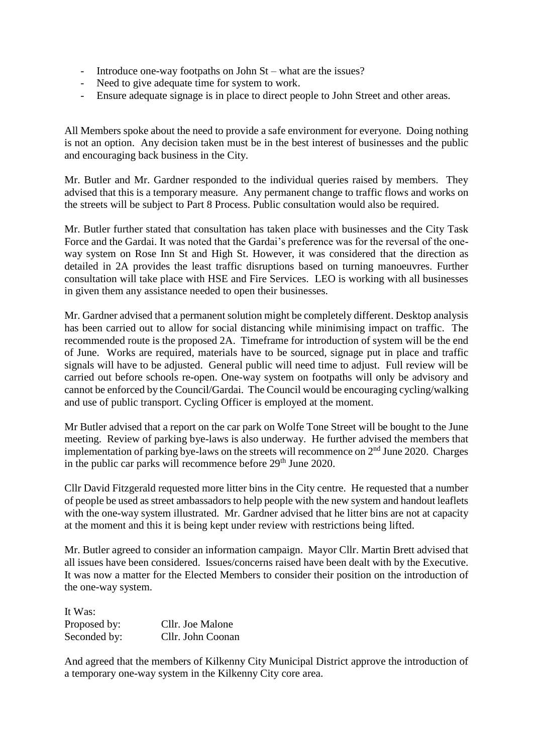- Introduce one-way footpaths on John St what are the issues?
- Need to give adequate time for system to work.
- Ensure adequate signage is in place to direct people to John Street and other areas.

All Members spoke about the need to provide a safe environment for everyone. Doing nothing is not an option. Any decision taken must be in the best interest of businesses and the public and encouraging back business in the City.

Mr. Butler and Mr. Gardner responded to the individual queries raised by members. They advised that this is a temporary measure. Any permanent change to traffic flows and works on the streets will be subject to Part 8 Process. Public consultation would also be required.

Mr. Butler further stated that consultation has taken place with businesses and the City Task Force and the Gardai. It was noted that the Gardai's preference was for the reversal of the oneway system on Rose Inn St and High St. However, it was considered that the direction as detailed in 2A provides the least traffic disruptions based on turning manoeuvres. Further consultation will take place with HSE and Fire Services. LEO is working with all businesses in given them any assistance needed to open their businesses.

Mr. Gardner advised that a permanent solution might be completely different. Desktop analysis has been carried out to allow for social distancing while minimising impact on traffic. The recommended route is the proposed 2A. Timeframe for introduction of system will be the end of June. Works are required, materials have to be sourced, signage put in place and traffic signals will have to be adjusted. General public will need time to adjust. Full review will be carried out before schools re-open. One-way system on footpaths will only be advisory and cannot be enforced by the Council/Gardai. The Council would be encouraging cycling/walking and use of public transport. Cycling Officer is employed at the moment.

Mr Butler advised that a report on the car park on Wolfe Tone Street will be bought to the June meeting. Review of parking bye-laws is also underway. He further advised the members that implementation of parking bye-laws on the streets will recommence on  $2<sup>nd</sup>$  June 2020. Charges in the public car parks will recommence before  $29<sup>th</sup>$  June 2020.

Cllr David Fitzgerald requested more litter bins in the City centre. He requested that a number of people be used as street ambassadorsto help people with the new system and handout leaflets with the one-way system illustrated. Mr. Gardner advised that he litter bins are not at capacity at the moment and this it is being kept under review with restrictions being lifted.

Mr. Butler agreed to consider an information campaign. Mayor Cllr. Martin Brett advised that all issues have been considered. Issues/concerns raised have been dealt with by the Executive. It was now a matter for the Elected Members to consider their position on the introduction of the one-way system.

It Was: Proposed by: Cllr. Joe Malone Seconded by: Cllr. John Coonan

And agreed that the members of Kilkenny City Municipal District approve the introduction of a temporary one-way system in the Kilkenny City core area.